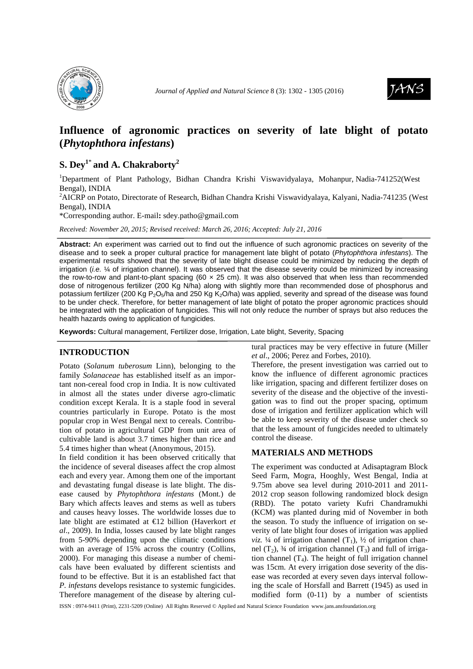



# **Influence of agronomic practices on severity of late blight of potato (***Phytophthora infestans***)**

## $\mathbf{S}. \mathbf{Dey}^{1^*}$  and  $\mathbf{A}. \mathbf{Chakraborty}^2$

<sup>1</sup>Department of Plant Pathology, Bidhan Chandra Krishi Viswavidyalaya, Mohanpur, Nadia-741252(West Bengal), INDIA

<sup>2</sup>AICRP on Potato, Directorate of Research, Bidhan Chandra Krishi Viswavidyalaya, Kalyani, Nadia-741235 (West Bengal), INDIA

\*Corresponding author. E-mail**:** sdey.patho@gmail.com

*Received: November 20, 2015; Revised received: March 26, 2016; Accepted: July 21, 2016*

**Abstract:** An experiment was carried out to find out the influence of such agronomic practices on severity of the disease and to seek a proper cultural practice for management late blight of potato (Phytophthora infestans). The experimental results showed that the severity of late blight disease could be minimized by reducing the depth of irrigation (i.e.  $\frac{1}{4}$  of irrigation channel). It was observed that the disease severity could be minimized by increasing the row-to-row and plant-to-plant spacing (60  $\times$  25 cm). It was also observed that when less than recommended dose of nitrogenous fertilizer (200 Kg N/ha) along with slightly more than recommended dose of phosphorus and potassium fertilizer (200 Kg P<sub>2</sub>O<sub>5</sub>/ha and 250 Kg K<sub>2</sub>O/ha) was applied, severity and spread of the disease was found to be under check. Therefore, for better management of late blight of potato the proper agronomic practices should be integrated with the application of fungicides. This will not only reduce the number of sprays but also reduces the health hazards owing to application of fungicides.

**Keywords:** Cultural management, Fertilizer dose, Irrigation, Late blight, Severity, Spacing

## **INTRODUCTION**

Potato (*Solanum tuberosum* Linn), belonging to the family *Solanaceae* has established itself as an important non-cereal food crop in India. It is now cultivated in almost all the states under diverse agro-climatic condition except Kerala. It is a staple food in several countries particularly in Europe. Potato is the most popular crop in West Bengal next to cereals. Contribution of potato in agricultural GDP from unit area of cultivable land is about 3.7 times higher than rice and 5.4 times higher than wheat (Anonymous, 2015).

In field condition it has been observed critically that the incidence of several diseases affect the crop almost each and every year. Among them one of the important and devastating fungal disease is late blight. The disease caused by *Phytophthora infestans* (Mont.) de Bary which affects leaves and stems as well as tubers and causes heavy losses. The worldwide losses due to late blight are estimated at €12 billion (Haverkort *et al*., 2009). In India, losses caused by late blight ranges from 5-90% depending upon the climatic conditions with an average of 15% across the country (Collins, 2000). For managing this disease a number of chemicals have been evaluated by different scientists and found to be effective. But it is an established fact that *P. infestans* develops resistance to systemic fungicides. Therefore management of the disease by altering cultural practices may be very effective in future (Miller *et al*., 2006; Perez and Forbes, 2010).

Therefore, the present investigation was carried out to know the influence of different agronomic practices like irrigation, spacing and different fertilizer doses on severity of the disease and the objective of the investigation was to find out the proper spacing, optimum dose of irrigation and fertilizer application which will be able to keep severity of the disease under check so that the less amount of fungicides needed to ultimately control the disease.

## **MATERIALS AND METHODS**

The experiment was conducted at Adisaptagram Block Seed Farm, Mogra, Hooghly, West Bengal, India at 9.75m above sea level during 2010-2011 and 2011- 2012 crop season following randomized block design (RBD). The potato variety Kufri Chandramukhi (KCM) was planted during mid of November in both the season. To study the influence of irrigation on severity of late blight four doses of irrigation was applied *viz.* 1/4 of irrigation channel  $(T_1)$ , 1/2 of irrigation channel  $(T_2)$ ,  $\frac{3}{4}$  of irrigation channel  $(T_3)$  and full of irrigation channel  $(T_4)$ . The height of full irrigation channel was 15cm. At every irrigation dose severity of the disease was recorded at every seven days interval following the scale of Horsfall and Barrett (1945) as used in modified form (0-11) by a number of scientists

ISSN : 0974-9411 (Print), 2231-5209 (Online) All Rights Reserved © Applied and Natural Science Foundation www.jans.ansfoundation.org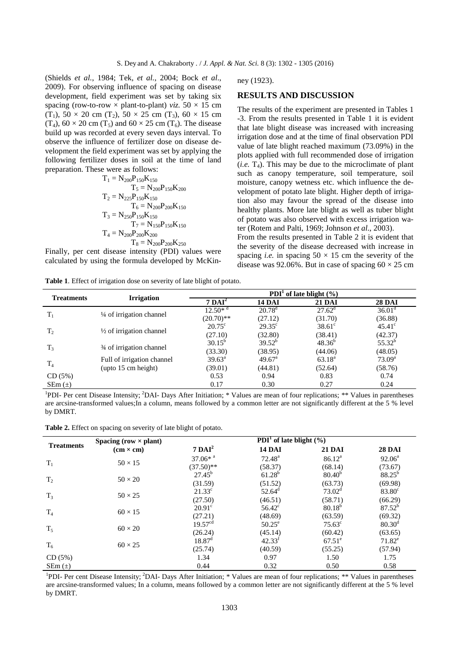(Shields *et al.*, 1984; Tek, *et al.*, 2004; Bock *et al*., 2009). For observing influence of spacing on disease development, field experiment was set by taking six spacing (row-to-row  $\times$  plant-to-plant) *viz*. 50  $\times$  15 cm  $(T_1)$ ,  $50 \times 20$  cm  $(T_2)$ ,  $50 \times 25$  cm  $(T_3)$ ,  $60 \times 15$  cm  $(T_4)$ ,  $60 \times 20$  cm  $(T_5)$  and  $60 \times 25$  cm  $(T_6)$ . The disease build up was recorded at every seven days interval. To observe the influence of fertilizer dose on disease development the field experiment was set by applying the following fertilizer doses in soil at the time of land preparation. These were as follows:

$$
\begin{aligned} T_1 &= N_{200}P_{150}K_{150} \\ T_5 &= N_{200}P_{150}K_{200} \\ T_2 &= N_{225}P_{150}K_{150} \\ T_6 &= N_{200}P_{200}K_{150} \\ T_3 &= N_{250}P_{150}K_{150} \\ T_7 &= N_{150}P_{150}K_{150} \\ T_4 &= N_{200}P_{200}K_{200} \\ T_8 &= N_{200}P_{200}K_{250} \end{aligned}
$$

Finally, per cent disease intensity (PDI) values were calculated by using the formula developed by McKin-

**Table 1**. Effect of irrigation dose on severity of late blight of potato.

ney (1923).

#### **RESULTS AND DISCUSSION**

The results of the experiment are presented in Tables 1 -3. From the results presented in Table 1 it is evident that late blight disease was increased with increasing irrigation dose and at the time of final observation PDI value of late blight reached maximum (73.09%) in the plots applied with full recommended dose of irrigation  $(i.e. T<sub>4</sub>)$ . This may be due to the microclimate of plant such as canopy temperature, soil temperature, soil moisture, canopy wetness etc. which influence the development of potato late blight. Higher depth of irrigation also may favour the spread of the disease into healthy plants. More late blight as well as tuber blight of potato was also observed with excess irrigation water (Rotem and Palti, 1969; Johnson *et al*., 2003).

From the results presented in Table 2 it is evident that the severity of the disease decreased with increase in spacing *i.e.* in spacing  $50 \times 15$  cm the severity of the disease was 92.06%. But in case of spacing  $60 \times 25$  cm

| <b>Treatments</b> |                                     | PDI <sup>1</sup> of late blight $(\% )$ |                                                       |                 |                    |
|-------------------|-------------------------------------|-----------------------------------------|-------------------------------------------------------|-----------------|--------------------|
|                   | <b>Irrigation</b>                   | $7 \text{ DAI}^2$                       | <b>14 DAI</b>                                         | <b>21 DAI</b>   | <b>28 DAI</b>      |
|                   | 1/4 of irrigation channel           | $12.50*$ <sup>d</sup>                   | $20.78^{\rm d}$                                       | $27.62^{\rm d}$ | $36.01^{\circ}$    |
| $T_1$             |                                     | $(20.70)$ **                            | (27.12)                                               | (31.70)         | (36.88)            |
| T <sub>2</sub>    | $\frac{1}{2}$ of irrigation channel | $20.75^{\circ}$                         | $29.35^{\circ}$                                       | $38.61^\circ$   | $45.41^{\circ}$    |
|                   |                                     | (27.10)                                 | (32.80)                                               | (38.41)         | (42.37)            |
|                   |                                     | $30.15^{b}$                             | $39.52^{b}$                                           | $48.36^{b}$     | $55.32^{b}$        |
| $T_3$             | 3⁄4 of irrigation channel           | (33.30)                                 | (38.95)<br>$49.67^{\circ}$<br>(44.81)<br>0.94<br>0.30 | (44.06)         | (48.05)            |
| T <sub>4</sub>    | Full of irrigation channel          | $39.63^{\circ}$                         |                                                       | $63.18^{a}$     | 73.09 <sup>a</sup> |
|                   | $upto 15$ cm height)                | (39.01)                                 |                                                       | (52.64)         | (58.76)            |
| CD(5%)            |                                     | 0.53                                    |                                                       | 0.83            | 0.74               |
| $SEm (\pm)$       |                                     | 0.17                                    |                                                       | 0.27            | 0.24               |

<sup>1</sup>PDI- Per cent Disease Intensity; <sup>2</sup>DAI- Days After Initiation; \* Values are mean of four replications; \*\* Values in parentheses are arcsine-transformed values;In a column, means followed by a common letter are not significantly different at the 5 % level by DMRT.

**Table 2.** Effect on spacing on severity of late blight of potato.

|                   | Spacing (row $\times$ plant) | PDI <sup>1</sup> of late blight $(\% )$ |                    |                    |                 |
|-------------------|------------------------------|-----------------------------------------|--------------------|--------------------|-----------------|
| <b>Treatments</b> | $(cm \times cm)$             | $7 \text{ DAI}^2$                       | <b>14 DAI</b>      | <b>21 DAI</b>      | <b>28 DAI</b>   |
| $T_1$             | $50 \times 15$               | $37.06*$ <sup>a</sup>                   | $72.48^{\rm a}$    | 86.12 <sup>a</sup> | $92.06^{\circ}$ |
|                   |                              | $(37.50)$ **                            | (58.37)            | (68.14)            | (73.67)         |
|                   | $50 \times 20$               | $27.45^{b}$                             | $61.28^{b}$        | $80.40^{b}$        | $88.25^{b}$     |
| T <sub>2</sub>    |                              | (31.59)                                 | (51.52)            | (63.73)            | (69.98)         |
| $T_3$             | $50 \times 25$               | $21.33^{\circ}$                         | $52.64^{\circ}$    | $73.02^d$          | $83.80^\circ$   |
|                   |                              | (27.50)                                 | (46.51)            | (58.71)            | (66.29)         |
|                   | $60 \times 15$               | $20.91^\circ$                           | $56.42^{\circ}$    | $80.18^{b}$        | $87.52^{b}$     |
| $T_4$             |                              | (27.21)                                 | (48.69)            | (63.59)            | (69.32)         |
| $T_5$             | $60 \times 20$               | 19.57 <sup>cd</sup>                     | $50.25^{\circ}$    | $75.63^{\circ}$    | $80.30^{\rm d}$ |
|                   |                              | (26.24)                                 | (45.14)            | (60.42)            | (63.65)         |
| $T_6$             | $60 \times 25$               | $18.87$ <sup>d</sup>                    | 42.33 <sup>t</sup> | $67.51^{\circ}$    | $71.82^e$       |
|                   |                              | (25.74)                                 | (40.59)            | (55.25)            | (57.94)         |
| CD(5%)            |                              | 1.34                                    | 0.97               | 1.50               | 1.75            |
| $SEm (\pm)$       |                              | 0.44                                    | 0.32               | 0.50               | 0.58            |

<sup>1</sup>PDI- Per cent Disease Intensity; <sup>2</sup>DAI- Days After Initiation; \* Values are mean of four replications; \*\* Values in parentheses are arcsine-transformed values; In a column, means followed by a common letter are not significantly different at the 5 % level by DMRT.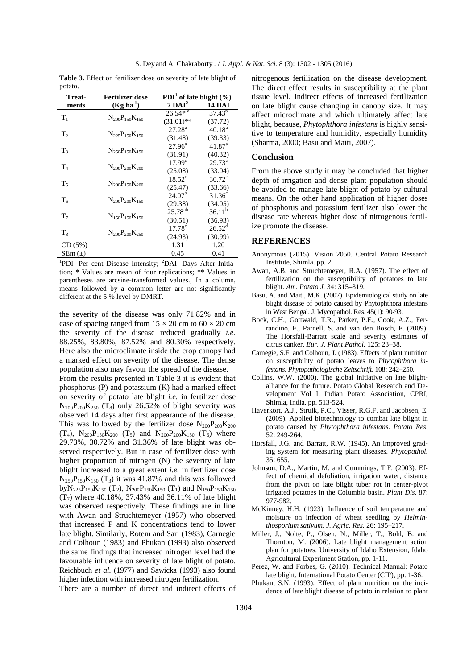|         |  | <b>Table 3.</b> Effect on fertilizer dose on severity of late blight of |  |
|---------|--|-------------------------------------------------------------------------|--|
| potato. |  |                                                                         |  |

|                | <b>Fertilizer dose</b>  |                                               |                    |
|----------------|-------------------------|-----------------------------------------------|--------------------|
| Treat-         |                         | <b>PDI</b> <sup>1</sup> of late blight $(\%)$ |                    |
| ments          | $(Kg ha-1)$             | $7 \text{ DAI}^2$                             | <b>14 DAI</b>      |
| $T_{1}$        | $N_{200}P_{150}K_{150}$ | $26.54*$ <sup>a</sup>                         | $37.43^{b}$        |
|                |                         | $(31.01)$ **                                  | (37.72)            |
| T <sub>2</sub> | $N_{225}P_{150}K_{150}$ | $27.28^{a}$                                   | $40.18^{\rm a}$    |
|                |                         | (31.48)                                       | (39.33)            |
| $T_{3}$        |                         | $27.96^{\circ}$                               | 41.87 <sup>a</sup> |
|                | $N_{250}P_{150}K_{150}$ | (31.91)                                       | (40.32)            |
|                | $N_{200}P_{200}K_{200}$ | 17.99 <sup>c</sup>                            | $29.73^{\circ}$    |
| $T_{4}$        |                         | (25.08)                                       | (33.04)            |
|                |                         | $18.52^{\circ}$                               | $30.72^{\circ}$    |
| $T_{5}$        | $N_{200}P_{150}K_{200}$ | (25.47)                                       | (33.66)            |
|                |                         | 24.07 <sup>b</sup>                            | $31.36^{\circ}$    |
| $T_{6}$        | $N_{200}P_{200}K_{150}$ | (29.38)                                       | (34.05)            |
| $T_7$          | $N_{150}P_{150}K_{150}$ | $25.78^{ab}$                                  | $36.11^{b}$        |
|                |                         | (30.51)                                       | (36.93)            |
|                | $N_{200}P_{200}K_{250}$ | $17.78^{\circ}$                               | 26.52 <sup>d</sup> |
| $T_{8}$        |                         | (24.93)                                       | (30.99)            |
| CD (5%)        |                         | 1.31                                          | 1.20               |
| $SEm (\pm)$    |                         | 0.45                                          | 0.41               |

<sup>1</sup>PDI- Per cent Disease Intensity; <sup>2</sup>DAI- Days After Initiation; \* Values are mean of four replications; \*\* Values in parentheses are arcsine-transformed values.; In a column, means followed by a common letter are not significantly different at the 5 % level by DMRT.

the severity of the disease was only 71.82% and in case of spacing ranged from  $15 \times 20$  cm to  $60 \times 20$  cm the severity of the disease reduced gradually *i.e.* 88.25%, 83.80%, 87.52% and 80.30% respectively. Here also the microclimate inside the crop canopy had a marked effect on severity of the disease. The dense population also may favour the spread of the disease.

From the results presented in Table 3 it is evident that phosphorus (P) and potassium (K) had a marked effect on severity of potato late blight *i.e.* in fertilizer dose  $N_{200}P_{200}K_{250}$  (T<sub>8</sub>) only 26.52% of blight severity was observed 14 days after first appearance of the disease. This was followed by the fertilizer dose  $N_{200}P_{200}K_{200}$  $(T_4)$ ,  $N_{200}P_{150}K_{200}$   $(T_5)$  and  $N_{200}P_{200}K_{150}$   $(T_6)$  where 29.73%, 30.72% and 31.36% of late blight was observed respectively. But in case of fertilizer dose with higher proportion of nitrogen (N) the severity of late blight increased to a great extent *i.e.* in fertilizer dose  $N_{250}P_{150}K_{150}$  (T<sub>3</sub>) it was 41.87% and this was followed byN<sub>225</sub>P<sub>150</sub>K<sub>150</sub> (T<sub>2</sub>), N<sub>200</sub>P<sub>150</sub>K<sub>150</sub> (T<sub>1</sub>) and N<sub>150</sub>P<sub>150</sub>K<sub>150</sub>  $(T_7)$  where 40.18%, 37.43% and 36.11% of late blight was observed respectively. These findings are in line with Awan and Struchtemeyer (1957) who observed that increased P and K concentrations tend to lower late blight. Similarly, Rotem and Sari (1983), Carnegie and Colhoun (1983) and Phukan (1993) also observed the same findings that increased nitrogen level had the favourable influence on severity of late blight of potato. Reichbuch *et al*. (1977) and Sawicka (1993) also found higher infection with increased nitrogen fertilization.

nitrogenous fertilization on the disease development. The direct effect results in susceptibility at the plant tissue level. Indirect effects of increased fertilization on late blight cause changing in canopy size. It may affect microclimate and which ultimately affect late blight, because, *Phytophthora infestans* is highly sensitive to temperature and humidity, especially humidity (Sharma, 2000; Basu and Maiti, 2007).

#### **Conclusion**

From the above study it may be concluded that higher depth of irrigation and dense plant population should be avoided to manage late blight of potato by cultural means. On the other hand application of higher doses of phosphorus and potassium fertilizer also lower the disease rate whereas higher dose of nitrogenous fertilize promote the disease.

### **REFERENCES**

- Anonymous (2015). Vision 2050. Central Potato Research Institute, Shimla. pp. 2.
- Awan, A.B. and Struchtemeyer, R.A. (1957). The effect of fertilization on the susceptibility of potatoes to late blight. *Am. Potato J.* 34: 315–319.
- Basu, A. and Maiti, M.K. (2007). Epidemiological study on late blight disease of potato caused by Phytophthora infestans in West Bengal. J. Mycopathol. Res. 45(1): 90-93.
- Bock, C.H., Gottwald, T.R., Parker, P.E., Cook, A.Z., Ferrandino, F., Parnell, S. and van den Bosch, F. (2009). The Horsfall-Barratt scale and severity estimates of citrus canker. *Eur. J. Plant Pathol.* 125: 23–38.
- Carnegie, S.F. and Colhoun, J. (1983). Effects of plant nutrition on susceptibility of potato leaves to *Phytophthora infestans*. *Phytopathologische Zeitschrift*. 108: 242–250.
- Collins, W.W. (2000). The global initiative on late blightalliance for the future. Potato Global Research and Development Vol I. Indian Potato Association, CPRI, Shimla, India, pp. 513-524.
- Haverkort, A.J., Struik, P.C., Visser, R.G.F. and Jacobsen, E. (2009). Applied biotechnology to combat late blight in potato caused by *Phytophthora infestans*. *Potato Res*. 52: 249-264.
- Horsfall, J.G. and Barratt, R.W. (1945). An improved grading system for measuring plant diseases. *Phytopathol.*   $35.655$
- Johnson, D.A., Martin, M. and Cummings, T.F. (2003). Effect of chemical defoliation, irrigation water, distance from the pivot on late blight tuber rot in center-pivot irrigated potatoes in the Columbia basin. *Plant Dis*. 87: 977-982.
- McKinney, H.H. (1923). Influence of soil temperature and moisture on infection of wheat seedling by *Helminthosporium sativum*. *J. Agric. Res.* 26: 195–217.
- Miller, J., Nolte, P., Olsen, N., Miller, T., Bohl, B. and Thornton, M. (2006). Late blight management action plan for potatoes. University of Idaho Extension, Idaho Agricultural Experiment Station, pp. 1-11.
- Perez, W. and Forbes, G. (2010). Technical Manual: Potato late blight. International Potato Center (CIP), pp. 1-36.
- Phukan, S.N. (1993). Effect of plant nutrition on the incidence of late blight disease of potato in relation to plant

There are a number of direct and indirect effects of